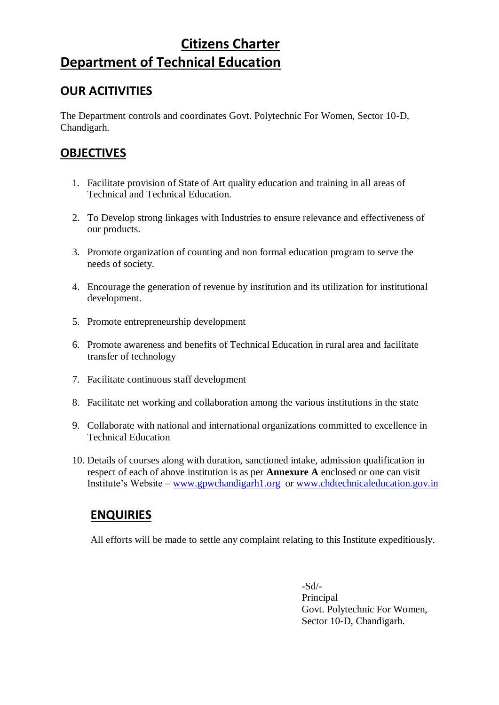# **Citizens Charter Department of Technical Education**

# **OUR ACITIVITIES**

The Department controls and coordinates Govt. Polytechnic For Women, Sector 10-D, Chandigarh.

# **OBJECTIVES**

- 1. Facilitate provision of State of Art quality education and training in all areas of Technical and Technical Education.
- 2. To Develop strong linkages with Industries to ensure relevance and effectiveness of our products.
- 3. Promote organization of counting and non formal education program to serve the needs of society.
- 4. Encourage the generation of revenue by institution and its utilization for institutional development.
- 5. Promote entrepreneurship development
- 6. Promote awareness and benefits of Technical Education in rural area and facilitate transfer of technology
- 7. Facilitate continuous staff development
- 8. Facilitate net working and collaboration among the various institutions in the state
- 9. Collaborate with national and international organizations committed to excellence in Technical Education
- 10. Details of courses along with duration, sanctioned intake, admission qualification in respect of each of above institution is as per **Annexure A** enclosed or one can visit Institute's Website – [www.gpwchandigarh1.org](http://www.gpwchandigarh1.org/) or [www.chdtechnicaleducation.gov.in](http://www.chdtechnicaleducation.gov.in/)

### **ENQUIRIES**

All efforts will be made to settle any complaint relating to this Institute expeditiously.

-Sd/- Principal Govt. Polytechnic For Women, Sector 10-D, Chandigarh.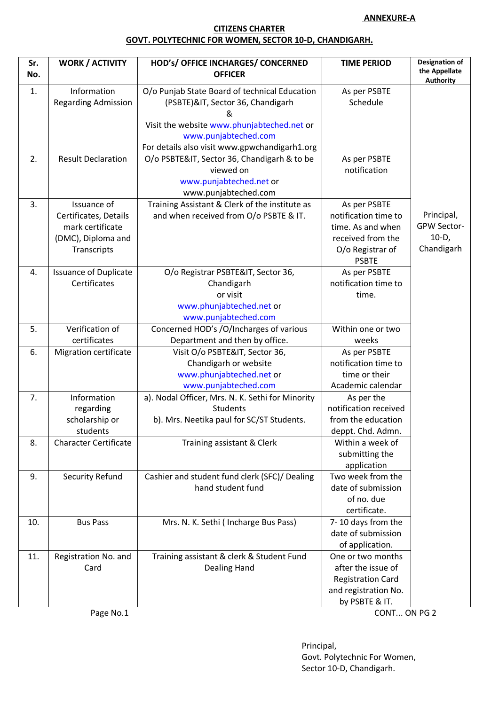#### **ANNEXURE-A**

### **CITIZENS CHARTER GOVT. POLYTECHNIC FOR WOMEN, SECTOR 10-D, CHANDIGARH.**

| Sr.<br>No. | <b>WORK / ACTIVITY</b>                                                                        | HOD'S/ OFFICE INCHARGES/ CONCERNED<br><b>OFFICER</b>                                                                                                                                                           | <b>TIME PERIOD</b>                                                                                                 | <b>Designation of</b><br>the Appellate<br><b>Authority</b> |
|------------|-----------------------------------------------------------------------------------------------|----------------------------------------------------------------------------------------------------------------------------------------------------------------------------------------------------------------|--------------------------------------------------------------------------------------------------------------------|------------------------------------------------------------|
| 1.         | Information<br><b>Regarding Admission</b>                                                     | O/o Punjab State Board of technical Education<br>(PSBTE)&IT, Sector 36, Chandigarh<br>&<br>Visit the website www.phunjabteched.net or<br>www.punjabteched.com<br>For details also visit www.gpwchandigarh1.org | As per PSBTE<br>Schedule                                                                                           |                                                            |
| 2.         | <b>Result Declaration</b>                                                                     | O/o PSBTE&IT, Sector 36, Chandigarh & to be<br>viewed on<br>www.punjabteched.net or<br>www.punjabteched.com                                                                                                    | As per PSBTE<br>notification                                                                                       |                                                            |
| 3.         | Issuance of<br>Certificates, Details<br>mark certificate<br>(DMC), Diploma and<br>Transcripts | Training Assistant & Clerk of the institute as<br>and when received from O/o PSBTE & IT.                                                                                                                       | As per PSBTE<br>notification time to<br>time. As and when<br>received from the<br>O/o Registrar of<br><b>PSBTE</b> | Principal,<br>GPW Sector-<br>$10-D,$<br>Chandigarh         |
| 4.         | <b>Issuance of Duplicate</b><br>Certificates                                                  | O/o Registrar PSBTE&IT, Sector 36,<br>Chandigarh<br>or visit<br>www.phunjabteched.net or<br>www.punjabteched.com                                                                                               | As per PSBTE<br>notification time to<br>time.                                                                      |                                                            |
| 5.         | Verification of<br>certificates                                                               | Concerned HOD's /O/Incharges of various<br>Department and then by office.                                                                                                                                      | Within one or two<br>weeks                                                                                         |                                                            |
| 6.         | <b>Migration certificate</b>                                                                  | Visit O/o PSBTE&IT, Sector 36,<br>Chandigarh or website<br>www.phunjabteched.net or<br>www.punjabteched.com                                                                                                    | As per PSBTE<br>notification time to<br>time or their<br>Academic calendar                                         |                                                            |
| 7.         | Information<br>regarding<br>scholarship or<br>students                                        | a). Nodal Officer, Mrs. N. K. Sethi for Minority<br>Students<br>b). Mrs. Neetika paul for SC/ST Students.                                                                                                      | As per the<br>notification received<br>from the education<br>deppt. Chd. Admn.                                     |                                                            |
| 8.         | <b>Character Certificate</b>                                                                  | Training assistant & Clerk                                                                                                                                                                                     | Within a week of<br>submitting the<br>application                                                                  |                                                            |
| 9.         | Security Refund                                                                               | Cashier and student fund clerk (SFC)/ Dealing<br>hand student fund                                                                                                                                             | Two week from the<br>date of submission<br>of no. due<br>certificate.                                              |                                                            |
| 10.        | <b>Bus Pass</b>                                                                               | Mrs. N. K. Sethi (Incharge Bus Pass)                                                                                                                                                                           | 7-10 days from the<br>date of submission<br>of application.                                                        |                                                            |
| 11.        | Registration No. and<br>Card                                                                  | Training assistant & clerk & Student Fund<br>Dealing Hand                                                                                                                                                      | One or two months<br>after the issue of<br><b>Registration Card</b><br>and registration No.<br>by PSBTE & IT.      |                                                            |

Page No.1 CONT... ON PG 2

Principal, Govt. Polytechnic For Women, Sector 10-D, Chandigarh.